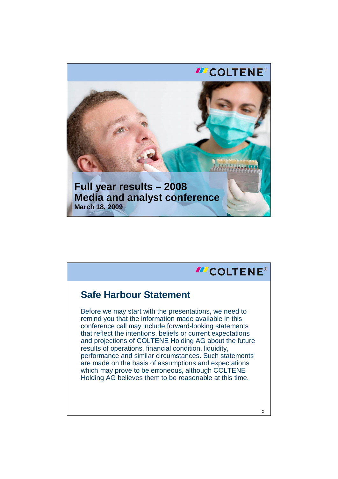

## **III COLTENE® Safe Harbour Statement** Before we may start with the presentations, we need to remind you that the information made available in this conference call may include forward-looking statements that reflect the intentions, beliefs or current expectations and projections of COLTENE Holding AG about the future results of operations, financial condition, liquidity, performance and similar circumstances. Such statements are made on the basis of assumptions and expectations which may prove to be erroneous, although COLTENE Holding AG believes them to be reasonable at this time. $\overline{2}$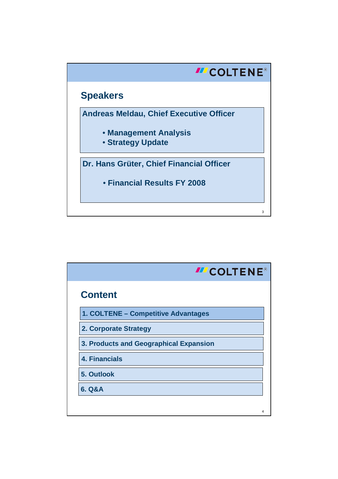

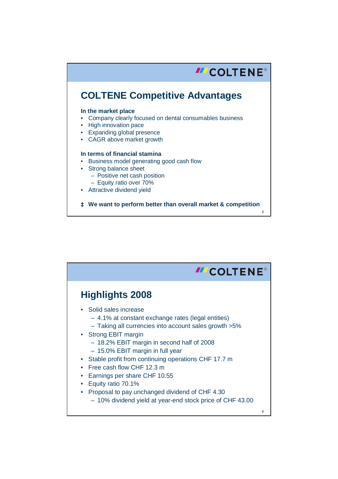

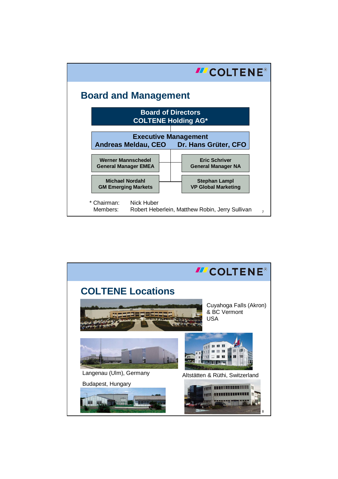

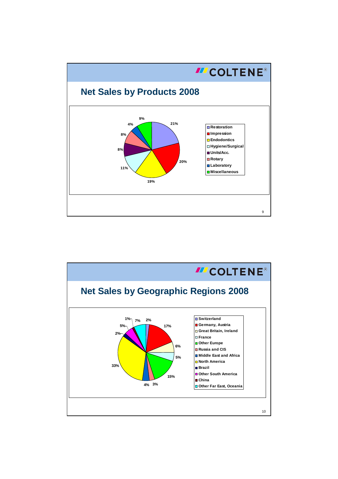

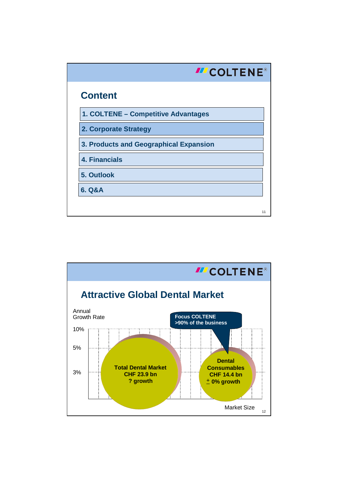

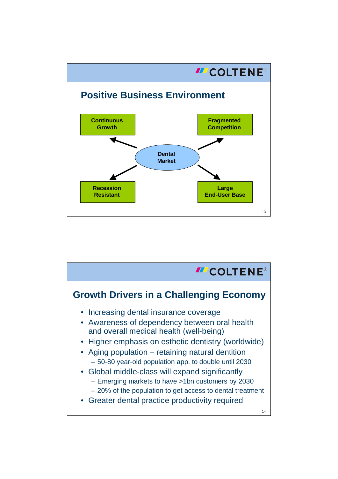

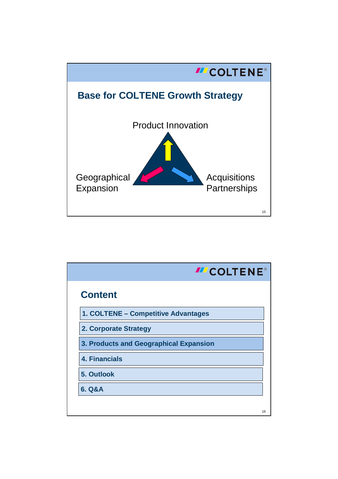

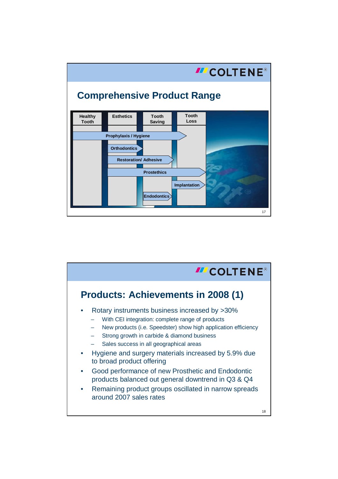

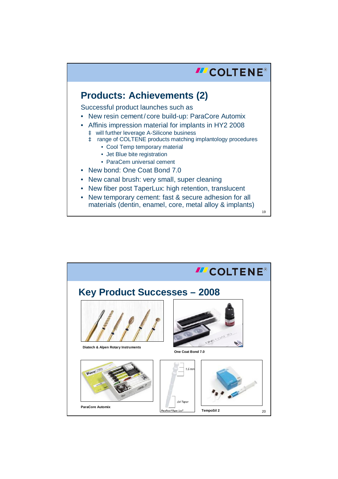

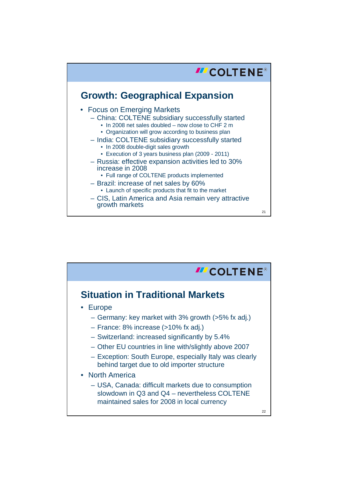

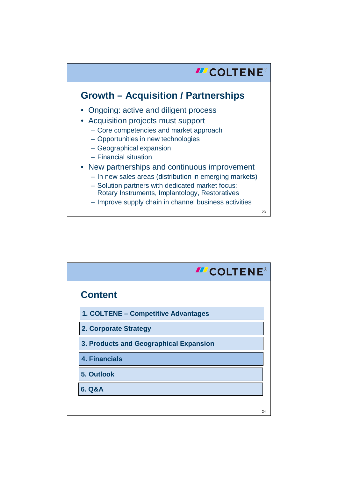## **III** COLTENE® **Growth – Acquisition / Partnerships** • Ongoing: active and diligent process • Acquisition projects must support – Core competencies and market approach – Opportunities in new technologies – Geographical expansion – Financial situation • New partnerships and continuous improvement – In new sales areas (distribution in emerging markets) – Solution partners with dedicated market focus: Rotary Instruments, Implantology, Restoratives – Improve supply chain in channel business activities 23

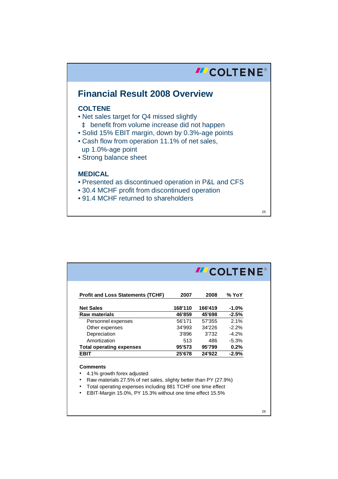

25

| <b>Profit and Loss Statements (TCHF)</b>                         | 2007    | 2008    | % YoY    |
|------------------------------------------------------------------|---------|---------|----------|
| <b>Net Sales</b>                                                 | 168'110 | 166'419 | $-1.0\%$ |
| <b>Raw materials</b>                                             | 46'859  | 45'698  | $-2.5%$  |
| Personnel expenses                                               | 56'171  | 57'355  | 2.1%     |
| Other expenses                                                   | 34'993  | 34'226  | $-2.2%$  |
| Depreciation                                                     | 3'896   | 3'732   | $-4.2%$  |
| Amortization                                                     | 513     | 486     | $-5.3%$  |
| <b>Total operating expenses</b>                                  | 95'573  | 95'799  | 0.2%     |
| <b>EBIT</b>                                                      | 25'678  | 24'922  | $-2.9%$  |
| <b>Comments</b>                                                  |         |         |          |
| 4.1% growth forex adjusted                                       |         |         |          |
| Raw materials 27.5% of net sales, slighty better than PY (27.9%) |         |         |          |

26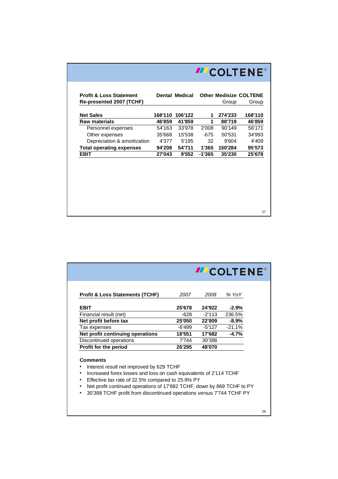| <b>Profit &amp; Loss Statement</b><br>Re-presented 2007 (TCHF) |         | <b>Dental Medical</b> |        | <b>Other Medisize COLTENE</b><br>Group | Group   |
|----------------------------------------------------------------|---------|-----------------------|--------|----------------------------------------|---------|
| <b>Net Sales</b>                                               | 168'110 | 106'122               | 1      | 274'233                                | 168'110 |
| <b>Raw materials</b>                                           | 46'859  | 41'859                | 1      | 88'719                                 | 46'859  |
| Personnel expenses                                             | 54'163  | 33'978                | 2'008  | 90'149                                 | 56'171  |
| Other expenses                                                 | 35'668  | 15'538                | -675   | 50'531                                 | 34'993  |
| Depreciation & amortization                                    | 4'377   | 5'195                 | 32     | 9'604                                  | 4'409   |
| <b>Total operating expenses</b>                                | 94'208  | 54'711                | 1'365  | 150'284                                | 95'573  |
| <b>EBIT</b>                                                    | 27'043  | 9'552                 | -1'365 | 35'230                                 | 25'678  |
|                                                                |         |                       |        |                                        |         |
|                                                                |         |                       |        |                                        |         |

|                                                                                                                                                                                                                                                                     |        | <b>ILCOLTENE®</b> |          |  |  |
|---------------------------------------------------------------------------------------------------------------------------------------------------------------------------------------------------------------------------------------------------------------------|--------|-------------------|----------|--|--|
| <b>Profit &amp; Loss Statements (TCHF)</b>                                                                                                                                                                                                                          | 2007   | 2008              | % YoY    |  |  |
| <b>EBIT</b>                                                                                                                                                                                                                                                         | 25'678 | 24'922            | $-2.9%$  |  |  |
| Financial result (net)                                                                                                                                                                                                                                              | -628   | $-2'113$          | 236.5%   |  |  |
| Net profit before tax                                                                                                                                                                                                                                               | 25'050 | 22'809            | $-8.9%$  |  |  |
| Tax expenses                                                                                                                                                                                                                                                        | -6'499 | -5'127            | $-21.1%$ |  |  |
| Net profit continuing operations                                                                                                                                                                                                                                    | 18'551 | 17'682            | $-4.7%$  |  |  |
| Discontinued operations                                                                                                                                                                                                                                             | 7'744  | 30'388            |          |  |  |
| <b>Profit for the period</b>                                                                                                                                                                                                                                        | 26'295 | 48'070            |          |  |  |
| <b>Comments</b><br>Interest result net improved by 629 TCHF<br>Increased forex losses and loss on cash equivalents of 2'114 TCHF<br>Effective tax rate of 22.5% compared to 25.9% PY<br>٠<br>Net profit continued operations of 17'682 TCHF, down by 869 TCHF to PY |        |                   |          |  |  |
| 30'388 TCHF profit from discontinued operations versus 7'744 TCHF PY                                                                                                                                                                                                |        |                   |          |  |  |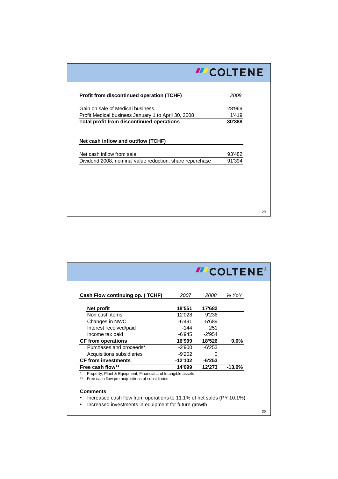|                                                                                       | <b>III</b> COLTENE® |  |
|---------------------------------------------------------------------------------------|---------------------|--|
|                                                                                       |                     |  |
| <b>Profit from discontinued operation (TCHF)</b>                                      | 2008                |  |
| Gain on sale of Medical business                                                      | 28'969              |  |
| Profit Medical business January 1 to April 30, 2008                                   | 1'419               |  |
| Total profit from discontinued operations                                             | 30'388              |  |
|                                                                                       |                     |  |
| Net cash inflow and outflow (TCHF)                                                    |                     |  |
|                                                                                       |                     |  |
|                                                                                       |                     |  |
| Net cash inflow from sale<br>Dividend 2008, nominal value reduction, share repurchase | 93'482<br>91'394    |  |
|                                                                                       |                     |  |
|                                                                                       |                     |  |
|                                                                                       |                     |  |
|                                                                                       |                     |  |
|                                                                                       |                     |  |

|                                                                                                                 |           |          | <b>ILCOLTENE®</b> |
|-----------------------------------------------------------------------------------------------------------------|-----------|----------|-------------------|
| Cash Flow continuing op. (TCHF)                                                                                 | 2007      | 2008     | % YoY             |
| Net profit                                                                                                      | 18'551    | 17'682   |                   |
| Non cash items                                                                                                  | 12'028    | 9'236    |                   |
| Changes in NWC                                                                                                  | -6'491    | -5'689   |                   |
| Interest received/paid                                                                                          | -144      | 251      |                   |
| Income tax paid                                                                                                 | -6'945    | $-2'954$ |                   |
| <b>CF from operations</b>                                                                                       | 16'999    | 18'526   | $9.0\%$           |
| Purchases and proceeds*                                                                                         | -2'900    | $-6'253$ |                   |
| Acquisitions subsidiaries                                                                                       | -9'202    | U        |                   |
| <b>CF from investments</b>                                                                                      | $-12'102$ | $-6'253$ |                   |
| Free cash flow**                                                                                                | 14'099    | 12'273   | $-13.0\%$         |
| Property, Plant & Equipment, Financial and Intangible assets<br>Free cash flow pre acquisitions of subsidiaries |           |          |                   |

• Increased cash flow from operations to 11.1% of net sales (PY 10.1%) • Increased investments in equipment for future growth

30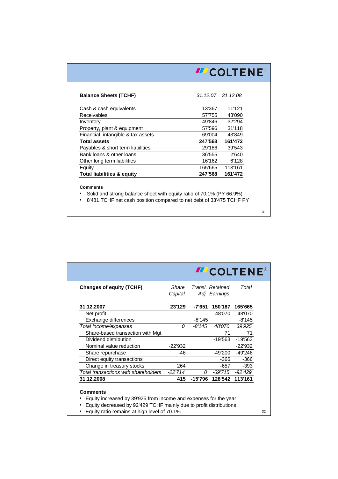|                                       |                   | <b>III</b> COLTENE® |  |  |  |
|---------------------------------------|-------------------|---------------------|--|--|--|
|                                       |                   |                     |  |  |  |
| <b>Balance Sheets (TCHF)</b>          | 31.12.07 31.12.08 |                     |  |  |  |
| Cash & cash equivalents               | 13'367            | 11'121              |  |  |  |
| Receivables                           | 57'755            | 43'090              |  |  |  |
| Inventory                             | 49'846            | 32'294              |  |  |  |
| Property, plant & equipment           | 57'596            | 31'118              |  |  |  |
| Financial, intangible & tax assets    | 69'004            | 43'849              |  |  |  |
| <b>Total assets</b>                   | 247'568           | 161'472             |  |  |  |
| Payables & short term liabilities     | 29'186            | 39'543              |  |  |  |
| Bank loans & other loans              | 36'555            | 2'640               |  |  |  |
| Other long term liabilities           | 16'162            | 6'128               |  |  |  |
| Equity                                | 165'665           | 113'161             |  |  |  |
| <b>Total liabilities &amp; equity</b> | 247'568           | 161'472             |  |  |  |

• Solid and strong balance sheet with equity ratio of 70.1% (PY 66.9%)

• 8'481 TCHF net cash position compared to net debt of 33'475 TCHF PY

31

|                                      |                  |          | <b>III</b> COLTENE®               |           |
|--------------------------------------|------------------|----------|-----------------------------------|-----------|
| <b>Changes of equity (TCHF)</b>      | Share<br>Capital |          | Transl. Retained<br>Adj. Earnings | Total     |
| 31.12.2007                           | 23'129           | -7'651   | 150'187                           | 165'665   |
| Net profit                           |                  |          | 48'070                            | 48'070    |
| Exchange differences                 |                  | $-8'145$ |                                   | $-8'145$  |
| Total income/expenses                | Ω                | -8'145   | 48'070                            | 39'925    |
| Share-based transaction with Mgt     |                  |          | 71                                | 71        |
| Dividend distribution                |                  |          | $-19'563$                         | $-19'563$ |
| Nominal value reduction              | $-22'932$        |          |                                   | $-22'932$ |
| Share repurchase                     | -46              |          | -49'200                           | $-49'246$ |
| Direct equity transactions           |                  |          | -366                              | -366      |
| Change in treasury stocks            | 264              |          | $-657$                            | $-393$    |
| Total transactions with shareholders | $-22'714$        | Ω        | $-69'715$                         | -92'429   |
| 31.12.2008                           | 415              | -15'796  | 128'542                           | 113'161   |

• Equity decreased by 92'429 TCHF mainly due to profit distributions

• Equity ratio remains at high level of 70.1%

32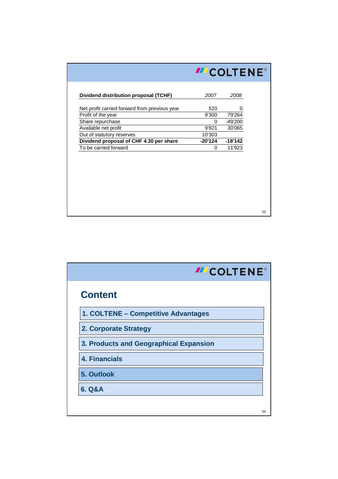|                                               | <b>III COLTENE®</b> |           |    |
|-----------------------------------------------|---------------------|-----------|----|
| Dividend distribution proposal (TCHF)         | 2007                | 2008      |    |
| Net profit carried forward from previous year | 520                 |           |    |
| Profit of the year                            | 9'300               | 79'264    |    |
| Share repurchase                              | $\Omega$            | -49'200   |    |
| Available net profit                          | 9'821               | 30'065    |    |
| Out of statutory reserves                     | 10'303              |           |    |
| Dividend proposal of CHF 4.30 per share       | $-20'124$           | $-18'142$ |    |
| To be carried forward                         | 0                   | 11'923    |    |
|                                               |                     |           |    |
|                                               |                     |           | 33 |

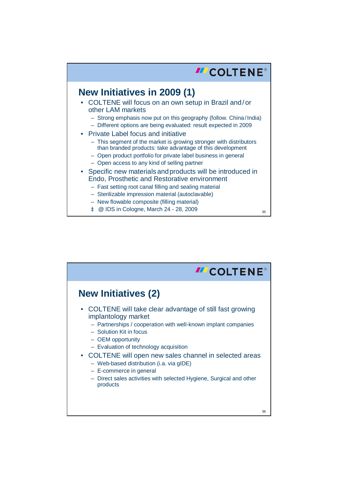

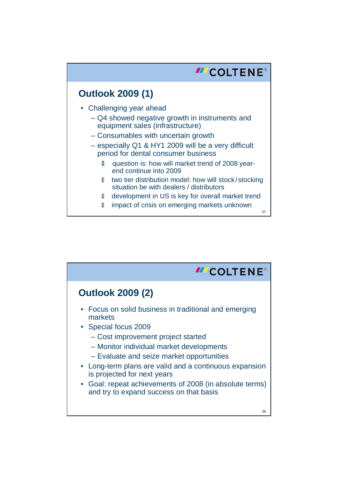

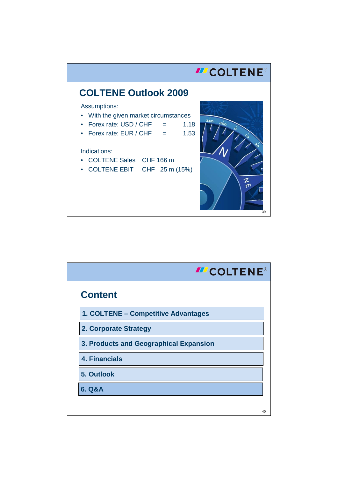